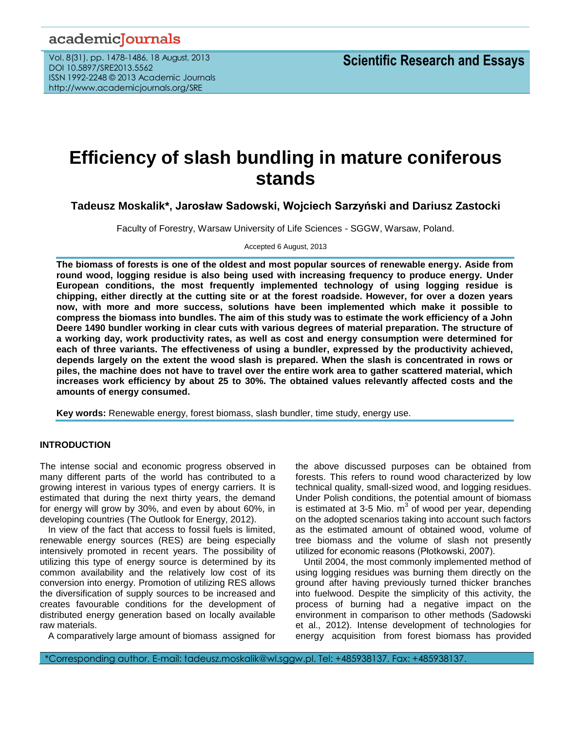## academicJournals

Vol. 8(31), pp. 1478-1486, 18 August, 2013 DOI 10.5897/SRE2013.5562 ISSN 1992-2248 © 2013 Academic Journals http://www.academicjournals.org/SRE

# **Efficiency of slash bundling in mature coniferous stands**

**Tadeusz Moskalik\*, Jarosław Sadowski, Wojciech Sarzyński and Dariusz Zastocki**

Faculty of Forestry, Warsaw University of Life Sciences - SGGW, Warsaw, Poland.

Accepted 6 August, 2013

**The biomass of forests is one of the oldest and most popular sources of renewable energy. Aside from round wood, logging residue is also being used with increasing frequency to produce energy. Under European conditions, the most frequently implemented technology of using logging residue is chipping, either directly at the cutting site or at the forest roadside. However, for over a dozen years now, with more and more success, solutions have been implemented which make it possible to compress the biomass into bundles. The aim of this study was to estimate the work efficiency of a John Deere 1490 bundler working in clear cuts with various degrees of material preparation. The structure of a working day, work productivity rates, as well as cost and energy consumption were determined for each of three variants. The effectiveness of using a bundler, expressed by the productivity achieved, depends largely on the extent the wood slash is prepared. When the slash is concentrated in rows or piles, the machine does not have to travel over the entire work area to gather scattered material, which increases work efficiency by about 25 to 30%. The obtained values relevantly affected costs and the amounts of energy consumed.**

**Key words:** Renewable energy, forest biomass, slash bundler, time study, energy use.

## **INTRODUCTION**

The intense social and economic progress observed in many different parts of the world has contributed to a growing interest in various types of energy carriers. It is estimated that during the next thirty years, the demand for energy will grow by 30%, and even by about 60%, in developing countries (The Outlook for Energy, 2012).

In view of the fact that access to fossil fuels is limited, renewable energy sources (RES) are being especially intensively promoted in recent years. The possibility of utilizing this type of energy source is determined by its common availability and the relatively low cost of its conversion into energy. Promotion of utilizing RES allows the diversification of supply sources to be increased and creates favourable conditions for the development of distributed energy generation based on locally available raw materials.

A comparatively large amount of biomass assigned for

the above discussed purposes can be obtained from forests. This refers to round wood characterized by low technical quality, small-sized wood, and logging residues. Under Polish conditions, the potential amount of biomass is estimated at 3-5 Mio.  $m^3$  of wood per year, depending on the adopted scenarios taking into account such factors as the estimated amount of obtained wood, volume of tree biomass and the volume of slash not presently utilized for economic reasons (Płotkowski, 2007).

Until 2004, the most commonly implemented method of using logging residues was burning them directly on the ground after having previously turned thicker branches into fuelwood. Despite the simplicity of this activity, the process of burning had a negative impact on the environment in comparison to other methods (Sadowski et al., 2012). Intense development of technologies for energy acquisition from forest biomass has provided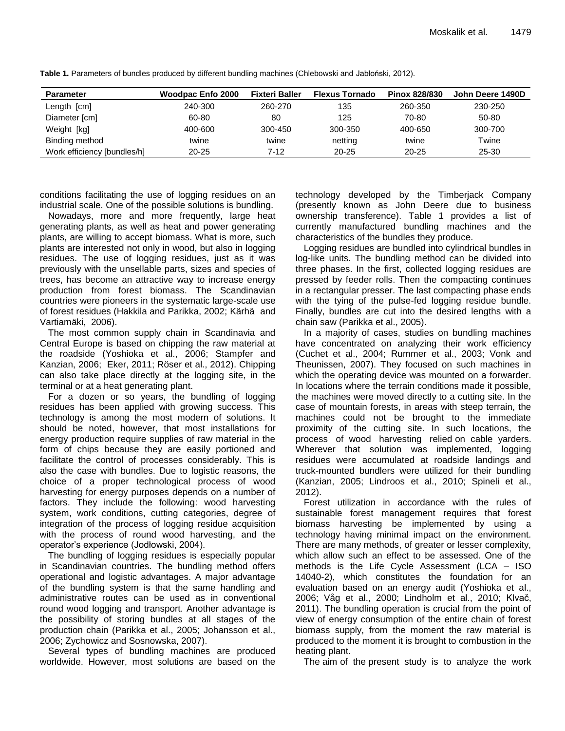| <b>Parameter</b>            | <b>Woodpac Enfo 2000</b> | <b>Fixteri Baller</b> | <b>Flexus Tornado</b> | Pinox 828/830 | John Deere 1490D |
|-----------------------------|--------------------------|-----------------------|-----------------------|---------------|------------------|
| Length [cm]                 | 240-300                  | 260-270               | 135                   | 260-350       | 230-250          |
| Diameter [cm]               | 60-80                    | 80                    | 125                   | 70-80         | 50-80            |
| Weight [kg]                 | 400-600                  | 300-450               | 300-350               | 400-650       | 300-700          |
| Binding method              | twine                    | twine                 | netting               | twine         | Twine            |
| Work efficiency [bundles/h] | 20-25                    | 7-12                  | 20-25                 | $20 - 25$     | 25-30            |

**Table 1.** Parameters of bundles produced by different bundling machines (Chlebowski and Jabłoński, 2012).

conditions facilitating the use of logging residues on an industrial scale. One of the possible solutions is bundling.

Nowadays, more and more frequently, large heat generating plants, as well as heat and power generating plants, are willing to accept biomass. What is more, such plants are interested not only in wood, but also in logging residues. The use of logging residues, just as it was previously with the unsellable parts, sizes and species of trees, has become an attractive way to increase energy production from forest biomass. The Scandinavian countries were pioneers in the systematic large-scale use of forest residues (Hakkila and Parikka, 2002; Kärhä and Vartiamäki, 2006).

The most common supply chain in Scandinavia and Central Europe is based on chipping the raw material at the roadside (Yoshioka et al., 2006; Stampfer and Kanzian, 2006; Eker, 2011; Röser et al., 2012). Chipping can also take place directly at the logging site, in the terminal or at a heat generating plant.

For a dozen or so years, the bundling of logging residues has been applied with growing success. This technology is among the most modern of solutions. It should be noted, however, that most installations for energy production require supplies of raw material in the form of chips because they are easily portioned and facilitate the control of processes considerably. This is also the case with bundles. Due to logistic reasons, the choice of a proper technological process of wood harvesting for energy purposes depends on a number of factors. They include the following: wood harvesting system, work conditions, cutting categories, degree of integration of the process of logging residue acquisition with the process of round wood harvesting, and the operator's experience (Jodłowski, 2004).

The bundling of logging residues is especially popular in Scandinavian countries. The bundling method offers operational and logistic advantages. A major advantage of the bundling system is that the same handling and administrative routes can be used as in conventional round wood logging and transport. Another advantage is the possibility of storing bundles at all stages of the production chain (Parikka et al., 2005; Johansson et al., 2006; Zychowicz and Sosnowska, 2007).

Several types of bundling machines are produced worldwide. However, most solutions are based on the technology developed by the Timberjack Company (presently known as John Deere due to business ownership transference). Table 1 provides a list of currently manufactured bundling machines and the characteristics of the bundles they produce.

Logging residues are bundled into cylindrical bundles in log-like units. The bundling method can be divided into three phases. In the first, collected logging residues are pressed by feeder rolls. Then the compacting continues in a rectangular presser. The last compacting phase ends with the tying of the pulse-fed logging residue bundle. Finally, bundles are cut into the desired lengths with a chain saw (Parikka et al., 2005).

In a majority of cases, studies on bundling machines have concentrated on analyzing their work efficiency (Cuchet et al., 2004; Rummer et al., 2003; Vonk and Theunissen, 2007). They focused on such machines in which the operating device was mounted on a forwarder. In locations where the terrain conditions made it possible, the machines were moved directly to a cutting site. In the case of mountain forests, in areas with steep terrain, the machines could not be brought to the immediate proximity of the cutting site. In such locations, the process of wood harvesting relied on cable yarders. Wherever that solution was implemented, logging residues were accumulated at roadside landings and truck-mounted bundlers were utilized for their bundling (Kanzian, 2005; Lindroos et al., 2010; Spineli et al., 2012).

Forest utilization in accordance with the rules of sustainable forest management requires that forest biomass harvesting be implemented by using a technology having minimal impact on the environment. There are many methods, of greater or lesser complexity, which allow such an effect to be assessed. One of the methods is the Life Cycle Assessment (LCA – ISO 14040-2), which constitutes the foundation for an evaluation based on an energy audit (Yoshioka et al., 2006; Våg et al., 2000; Lindholm et al., 2010; Klvač, 2011). The bundling operation is crucial from the point of view of energy consumption of the entire chain of forest biomass supply, from the moment the raw material is produced to the moment it is brought to combustion in the heating plant.

The aim of the present study is to analyze the work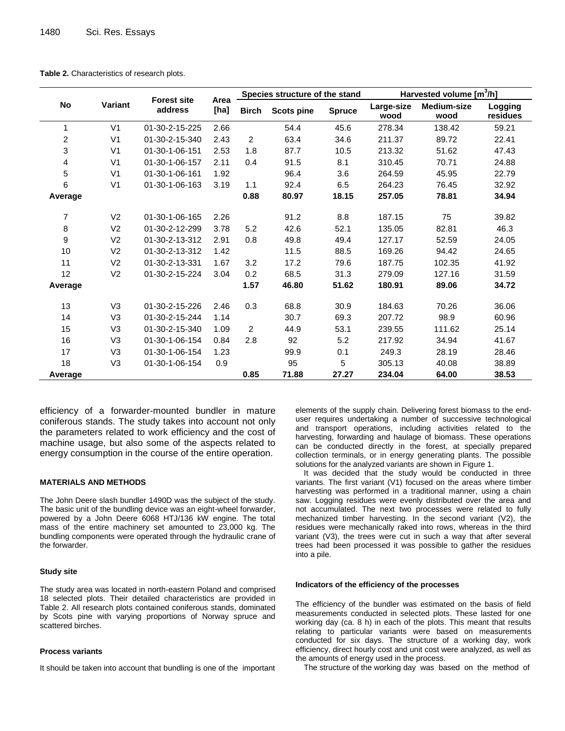|         |                                                                         | <b>Forest site</b> |               | Species structure of the stand |                     |                     | Harvested volume [m3/h] |        |       |
|---------|-------------------------------------------------------------------------|--------------------|---------------|--------------------------------|---------------------|---------------------|-------------------------|--------|-------|
| No      | Area<br>Variant<br>address<br>[ha]<br><b>Birch</b><br><b>Scots pine</b> |                    | <b>Spruce</b> | Large-size<br>wood             | Medium-size<br>wood | Logging<br>residues |                         |        |       |
| 1       | V <sub>1</sub>                                                          | 01-30-2-15-225     | 2.66          |                                | 54.4                | 45.6                | 278.34                  | 138.42 | 59.21 |
| 2       | V <sub>1</sub>                                                          | 01-30-2-15-340     | 2.43          | $\overline{2}$                 | 63.4                | 34.6                | 211.37                  | 89.72  | 22.41 |
| 3       | V <sub>1</sub>                                                          | 01-30-1-06-151     | 2.53          | 1.8                            | 87.7                | 10.5                | 213.32                  | 51.62  | 47.43 |
| 4       | V <sub>1</sub>                                                          | 01-30-1-06-157     | 2.11          | 0.4                            | 91.5                | 8.1                 | 310.45                  | 70.71  | 24.88 |
| 5       | V <sub>1</sub>                                                          | 01-30-1-06-161     | 1.92          |                                | 96.4                | 3.6                 | 264.59                  | 45.95  | 22.79 |
| 6       | V <sub>1</sub>                                                          | 01-30-1-06-163     | 3.19          | 1.1                            | 92.4                | 6.5                 | 264.23                  | 76.45  | 32.92 |
| Average |                                                                         |                    |               | 0.88                           | 80.97               | 18.15               | 257.05                  | 78.81  | 34.94 |
| 7       | V <sub>2</sub>                                                          | 01-30-1-06-165     | 2.26          |                                | 91.2                | 8.8                 | 187.15                  | 75     | 39.82 |
| 8       | V <sub>2</sub>                                                          | 01-30-2-12-299     | 3.78          | 5.2                            | 42.6                | 52.1                | 135.05                  | 82.81  | 46.3  |
| 9       | V <sub>2</sub>                                                          | 01-30-2-13-312     | 2.91          | 0.8                            | 49.8                | 49.4                | 127.17                  | 52.59  | 24.05 |
| 10      | V <sub>2</sub>                                                          | 01-30-2-13-312     | 1.42          |                                | 11.5                | 88.5                | 169.26                  | 94.42  | 24.65 |
| 11      | V <sub>2</sub>                                                          | 01-30-2-13-331     | 1.67          | 3.2                            | 17.2                | 79.6                | 187.75                  | 102.35 | 41.92 |
| 12      | V <sub>2</sub>                                                          | 01-30-2-15-224     | 3.04          | 0.2                            | 68.5                | 31.3                | 279.09                  | 127.16 | 31.59 |
| Average |                                                                         |                    |               | 1.57                           | 46.80               | 51.62               | 180.91                  | 89.06  | 34.72 |
| 13      | V <sub>3</sub>                                                          | 01-30-2-15-226     | 2.46          | 0.3                            | 68.8                | 30.9                | 184.63                  | 70.26  | 36.06 |
| 14      | V <sub>3</sub>                                                          | 01-30-2-15-244     | 1.14          |                                | 30.7                | 69.3                | 207.72                  | 98.9   | 60.96 |
| 15      | V <sub>3</sub>                                                          | 01-30-2-15-340     | 1.09          | $\overline{2}$                 | 44.9                | 53.1                | 239.55                  | 111.62 | 25.14 |
| 16      | V <sub>3</sub>                                                          | 01-30-1-06-154     | 0.84          | 2.8                            | 92                  | 5.2                 | 217.92                  | 34.94  | 41.67 |
| 17      | V <sub>3</sub>                                                          | 01-30-1-06-154     | 1.23          |                                | 99.9                | 0.1                 | 249.3                   | 28.19  | 28.46 |
| 18      | V <sub>3</sub>                                                          | 01-30-1-06-154     | 0.9           |                                | 95                  | 5                   | 305.13                  | 40.08  | 38.89 |
| Average |                                                                         |                    |               | 0.85                           | 71.88               | 27.27               | 234.04                  | 64.00  | 38.53 |

**Table 2.** Characteristics of research plots.

efficiency of a forwarder-mounted bundler in mature coniferous stands. The study takes into account not only the parameters related to work efficiency and the cost of machine usage, but also some of the aspects related to energy consumption in the course of the entire operation.

## **MATERIALS AND METHODS**

The John Deere slash bundler 1490D was the subject of the study. The basic unit of the bundling device was an eight-wheel forwarder, powered by a John Deere 6068 HTJ/136 kW engine. The total mass of the entire machinery set amounted to 23,000 kg. The bundling components were operated through the hydraulic crane of the forwarder.

#### **Study site**

The study area was located in north-eastern Poland and comprised 18 selected plots. Their detailed characteristics are provided in Table 2. All research plots contained coniferous stands, dominated by Scots pine with varying proportions of Norway spruce and scattered birches.

#### **Process variants**

It should be taken into account that bundling is one of the important

elements of the supply chain. Delivering forest biomass to the enduser requires undertaking a number of successive technological and transport operations, including activities related to the harvesting, forwarding and haulage of biomass. These operations can be conducted directly in the forest, at specially prepared collection terminals, or in energy generating plants. The possible solutions for the analyzed variants are shown in Figure 1.

It was decided that the study would be conducted in three variants. The first variant (V1) focused on the areas where timber harvesting was performed in a traditional manner, using a chain saw. Logging residues were evenly distributed over the area and not accumulated. The next two processes were related to fully mechanized timber harvesting. In the second variant (V2), the residues were mechanically raked into rows, whereas in the third variant (V3), the trees were cut in such a way that after several trees had been processed it was possible to gather the residues into a pile.

#### **Indicators of the efficiency of the processes**

The efficiency of the bundler was estimated on the basis of field measurements conducted in selected plots. These lasted for one working day (ca. 8 h) in each of the plots. This meant that results relating to particular variants were based on measurements conducted for six days. The structure of a working day, work efficiency, direct hourly cost and unit cost were analyzed, as well as the amounts of energy used in the process.

The structure of the working day was based on the method of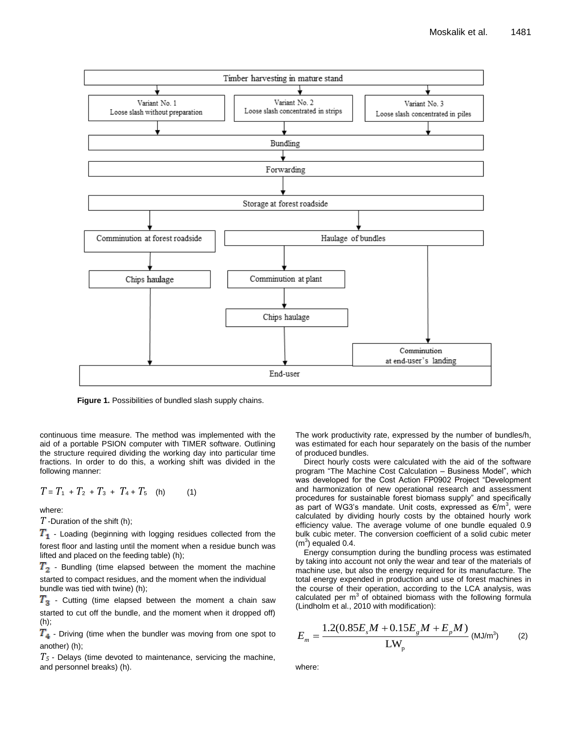

**Figure 1.** Possibilities of bundled slash supply chains.

continuous time measure. The method was implemented with the aid of a portable PSION computer with TIMER software. Outlining the structure required dividing the working day into particular time fractions. In order to do this, a working shift was divided in the following manner:

$$
T = T_1 + T_2 + T_3 + T_4 + T_5
$$
 (h) (1)

where:

*T* -Duration of the shift (h);

 $T_1$  - Loading (beginning with logging residues collected from the forest floor and lasting until the moment when a residue bunch was lifted and placed on the feeding table) (h);

 $T<sub>2</sub>$  - Bundling (time elapsed between the moment the machine started to compact residues, and the moment when the individual bundle was tied with twine) (h);

 $T_3$  - Cutting (time elapsed between the moment a chain saw started to cut off the bundle, and the moment when it dropped off) (h);

 $T<sub>4</sub>$  - Driving (time when the bundler was moving from one spot to another) (h);

*T<sup>5</sup>* - Delays (time devoted to maintenance, servicing the machine, and personnel breaks) (h).

The work productivity rate, expressed by the number of bundles/h, was estimated for each hour separately on the basis of the number of produced bundles.

Direct hourly costs were calculated with the aid of the software program "The Machine Cost Calculation – Business Model", which was developed for the Cost Action FP0902 Project "Development and harmonization of new operational research and assessment procedures for sustainable forest biomass supply" and specifically as part of WG3's mandate. Unit costs, expressed as €/m<sup>3</sup>, were calculated by dividing hourly costs by the obtained hourly work efficiency value. The average volume of one bundle equaled 0.9 bulk cubic meter. The conversion coefficient of a solid cubic meter  $(m<sup>3</sup>)$  equaled 0.4.

Energy consumption during the bundling process was estimated by taking into account not only the wear and tear of the materials of machine use, but also the energy required for its manufacture. The total energy expended in production and use of forest machines in the course of their operation, according to the LCA analysis, was calculated per  $m<sup>3</sup>$  of obtained biomass with the following formula (Lindholm et al., 2010 with modification):

$$
E_m = \frac{1.2(0.85E_sM + 0.15E_sM + E_pM)}{LW_p}
$$
 (MJ/m<sup>3</sup>) (2)

where: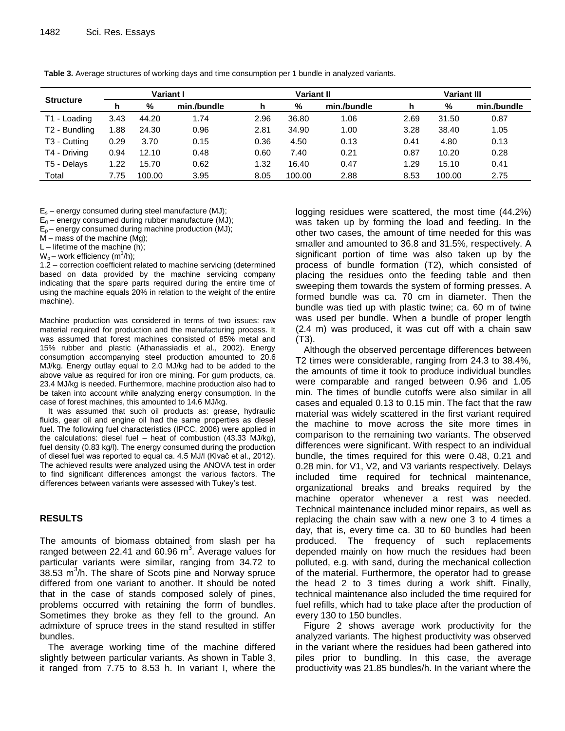|                          | <b>Variant I</b> |        | <b>Variant II</b> |      |        | Variant III |      |        |             |
|--------------------------|------------------|--------|-------------------|------|--------|-------------|------|--------|-------------|
| <b>Structure</b>         | h                | %      | min./bundle       | h    | %      | min./bundle |      | %      | min./bundle |
| T1 - Loading             | 3.43             | 44.20  | 1.74              | 2.96 | 36.80  | 1.06        | 2.69 | 31.50  | 0.87        |
| T2 - Bundling            | 1.88             | 24.30  | 0.96              | 2.81 | 34.90  | 1.00        | 3.28 | 38.40  | 1.05        |
| T <sub>3</sub> - Cutting | 0.29             | 3.70   | 0.15              | 0.36 | 4.50   | 0.13        | 0.41 | 4.80   | 0.13        |
| T4 - Driving             | 0.94             | 12.10  | 0.48              | 0.60 | 7.40   | 0.21        | 0.87 | 10.20  | 0.28        |
| T5 - Delays              | 1.22             | 15.70  | 0.62              | 1.32 | 16.40  | 0.47        | 1.29 | 15.10  | 0.41        |
| Total                    | 7.75             | 100.00 | 3.95              | 8.05 | 100.00 | 2.88        | 8.53 | 100.00 | 2.75        |

**Table 3.** Average structures of working days and time consumption per 1 bundle in analyzed variants.

 $E_s$  – energy consumed during steel manufacture (MJ);

 $E<sub>g</sub>$  – energy consumed during rubber manufacture (MJ);

 $E_p$  – energy consumed during machine production (MJ);

M – mass of the machine (Mg);

 $L$  – lifetime of the machine (h);

 $W_p$  – work efficiency (m ${}^{3}/h$ );

1.2 – correction coefficient related to machine servicing (determined based on data provided by the machine servicing company indicating that the spare parts required during the entire time of using the machine equals 20% in relation to the weight of the entire machine).

Machine production was considered in terms of two issues: raw material required for production and the manufacturing process. It was assumed that forest machines consisted of 85% metal and 15% rubber and plastic (Athanassiadis et al., 2002). Energy consumption accompanying steel production amounted to 20.6 MJ/kg. Energy outlay equal to 2.0 MJ/kg had to be added to the above value as required for iron ore mining. For gum products, ca. 23.4 MJ/kg is needed. Furthermore, machine production also had to be taken into account while analyzing energy consumption. In the case of forest machines, this amounted to 14.6 MJ/kg.

It was assumed that such oil products as: grease, hydraulic fluids, gear oil and engine oil had the same properties as diesel fuel. The following fuel characteristics (IPCC, 2006) were applied in the calculations: diesel fuel – heat of combustion (43.33 MJ/kg), fuel density (0.83 kg/l). The energy consumed during the production of diesel fuel was reported to equal ca. 4.5 MJ/l (Klvač et al., 2012). The achieved results were analyzed using the ANOVA test in order to find significant differences amongst the various factors. The differences between variants were assessed with Tukey's test.

## **RESULTS**

The amounts of biomass obtained from slash per ha ranged between 22.41 and 60.96  $m^3$ . Average values for particular variants were similar, ranging from 34.72 to  $38.53$  m $3/h$ . The share of Scots pine and Norway spruce differed from one variant to another. It should be noted that in the case of stands composed solely of pines, problems occurred with retaining the form of bundles. Sometimes they broke as they fell to the ground. An admixture of spruce trees in the stand resulted in stiffer bundles.

The average working time of the machine differed slightly between particular variants. As shown in Table 3, it ranged from 7.75 to 8.53 h. In variant I, where the

logging residues were scattered, the most time (44.2%) was taken up by forming the load and feeding. In the other two cases, the amount of time needed for this was smaller and amounted to 36.8 and 31.5%, respectively. A significant portion of time was also taken up by the process of bundle formation (T2), which consisted of placing the residues onto the feeding table and then sweeping them towards the system of forming presses. A formed bundle was ca. 70 cm in diameter. Then the bundle was tied up with plastic twine; ca. 60 m of twine was used per bundle. When a bundle of proper length (2.4 m) was produced, it was cut off with a chain saw (T3).

Although the observed percentage differences between T2 times were considerable, ranging from 24.3 to 38.4%, the amounts of time it took to produce individual bundles were comparable and ranged between 0.96 and 1.05 min. The times of bundle cutoffs were also similar in all cases and equaled 0.13 to 0.15 min. The fact that the raw material was widely scattered in the first variant required the machine to move across the site more times in comparison to the remaining two variants. The observed differences were significant. With respect to an individual bundle, the times required for this were 0.48, 0.21 and 0.28 min. for V1, V2, and V3 variants respectively. Delays included time required for technical maintenance, organizational breaks and breaks required by the machine operator whenever a rest was needed. Technical maintenance included minor repairs, as well as replacing the chain saw with a new one 3 to 4 times a day, that is, every time ca. 30 to 60 bundles had been produced. The frequency of such replacements depended mainly on how much the residues had been polluted, e.g. with sand, during the mechanical collection of the material. Furthermore, the operator had to grease the head 2 to 3 times during a work shift. Finally, technical maintenance also included the time required for fuel refills, which had to take place after the production of every 130 to 150 bundles.

Figure 2 shows average work productivity for the analyzed variants. The highest productivity was observed in the variant where the residues had been gathered into piles prior to bundling. In this case, the average productivity was 21.85 bundles/h. In the variant where the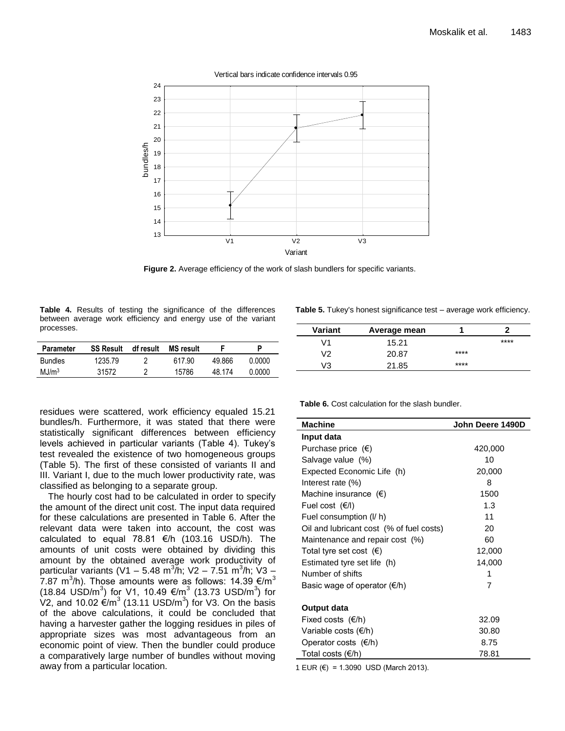

**Figure 2.** Average efficiency of the work of slash bundlers for specific variants.

**Table 4.** Results of testing the significance of the differences between average work efficiency and energy use of the variant processes.

| Parameter         | <b>SS Result</b> | df result | <b>MS</b> result |        | D      |
|-------------------|------------------|-----------|------------------|--------|--------|
| <b>Bundles</b>    | 1235.79          |           | 617.90           | 49.866 | 0.0000 |
| MJ/m <sup>3</sup> | 31572            |           | 15786            | 48 174 | 0.0000 |

**Table 5.** Tukey's honest significance test – average work efficiency.

| Variant | Average mean |      |      |
|---------|--------------|------|------|
| ۷1      | 15.21        |      | **** |
| V2      | 20.87        | **** |      |
| V3      | 21.85        | **** |      |

residues were scattered, work efficiency equaled 15.21 bundles/h. Furthermore, it was stated that there were statistically significant differences between efficiency levels achieved in particular variants (Table 4). Tukey's test revealed the existence of two homogeneous groups (Table 5). The first of these consisted of variants II and III. Variant I, due to the much lower productivity rate, was classified as belonging to a separate group.

The hourly cost had to be calculated in order to specify the amount of the direct unit cost. The input data required for these calculations are presented in Table 6. After the relevant data were taken into account, the cost was calculated to equal 78.81  $\epsilon$ /h (103.16 USD/h). The amounts of unit costs were obtained by dividing this amount by the obtained average work productivity of particular variants (V1 – 5.48 m $^{3}$ /h; V2 – 7.51 m $^{3}$ /h; V3 – 7.87 m<sup>3</sup>/h). Those amounts were as follows: 14.39 €/m<sup>3</sup> (18.84 USD/m<sup>3</sup>) for V1, 10.49 €/m<sup>3</sup> (13.73 USD/m<sup>3</sup>) for V2, and 10.02  $\acute{\text{e}}$ /m<sup>3</sup> (13.11 USD/m<sup>3</sup>) for V3. On the basis of the above calculations, it could be concluded that having a harvester gather the logging residues in piles of appropriate sizes was most advantageous from an economic point of view. Then the bundler could produce a comparatively large number of bundles without moving away from a particular location.

**Table 6.** Cost calculation for the slash bundler.

| <b>Machine</b>                           | John Deere 1490D |
|------------------------------------------|------------------|
| Input data                               |                  |
| Purchase price $(\epsilon)$              | 420,000          |
| Salvage value (%)                        | 10               |
| Expected Economic Life (h)               | 20,000           |
| Interest rate (%)                        | 8                |
| Machine insurance $(\epsilon)$           | 1500             |
| Fuel cost $(E/I)$                        | 1.3              |
| Fuel consumption (I/ h)                  | 11               |
| Oil and lubricant cost (% of fuel costs) | 20               |
| Maintenance and repair cost (%)          | 60               |
| Total tyre set cost $(\epsilon)$         | 12,000           |
| Estimated tyre set life (h)              | 14,000           |
| Number of shifts                         | 1                |
| Basic wage of operator $(\epsilon/h)$    | 7                |
| Output data                              |                  |
| Fixed costs $(\epsilon/h)$               | 32.09            |
| Variable costs $(\epsilon/h)$            | 30.80            |
| Operator costs $(\epsilon/h)$            | 8.75             |
| Total costs $(\epsilon/h)$               | 78.81            |

1 EUR (€) = 1.3090 USD (March 2013).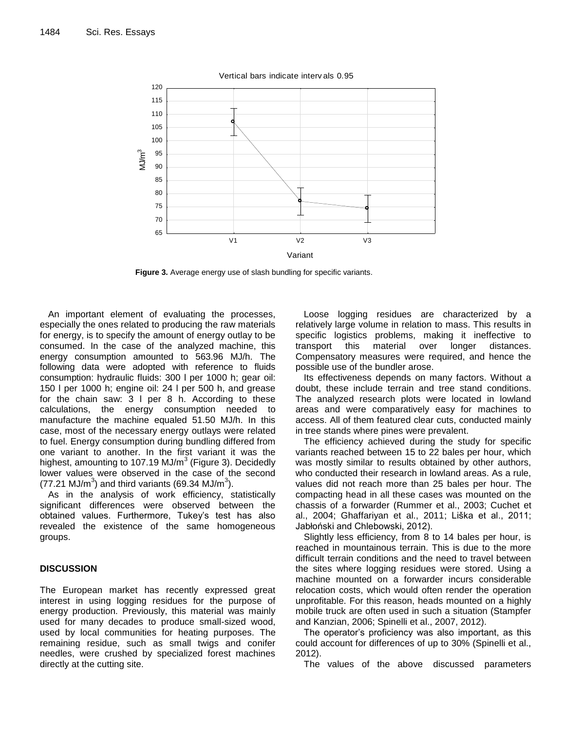

**Figure 3.** Average energy use of slash bundling for specific variants.

An important element of evaluating the processes, especially the ones related to producing the raw materials for energy, is to specify the amount of energy outlay to be consumed. In the case of the analyzed machine, this energy consumption amounted to 563.96 MJ/h. The following data were adopted with reference to fluids consumption: hydraulic fluids: 300 l per 1000 h; gear oil: 150 l per 1000 h; engine oil: 24 l per 500 h, and grease for the chain saw: 3 l per 8 h. According to these calculations, the energy consumption needed to manufacture the machine equaled 51.50 MJ/h. In this case, most of the necessary energy outlays were related to fuel. Energy consumption during bundling differed from one variant to another. In the first variant it was the highest, amounting to 107.19 MJ/m<sup>3</sup> (Figure 3). Decidedly lower values were observed in the case of the second (77.21 MJ/m<sup>3</sup>) and third variants (69.34 MJ/m<sup>3</sup>).

As in the analysis of work efficiency, statistically significant differences were observed between the obtained values. Furthermore, Tukey's test has also revealed the existence of the same homogeneous groups.

## **DISCUSSION**

The European market has recently expressed great interest in using logging residues for the purpose of energy production. Previously, this material was mainly used for many decades to produce small-sized wood, used by local communities for heating purposes. The remaining residue, such as small twigs and conifer needles, were crushed by specialized forest machines directly at the cutting site.

Loose logging residues are characterized by a relatively large volume in relation to mass. This results in specific logistics problems, making it ineffective to transport this material over longer distances. Compensatory measures were required, and hence the possible use of the bundler arose.

Its effectiveness depends on many factors. Without a doubt, these include terrain and tree stand conditions. The analyzed research plots were located in lowland areas and were comparatively easy for machines to access. All of them featured clear cuts, conducted mainly in tree stands where pines were prevalent.

The efficiency achieved during the study for specific variants reached between 15 to 22 bales per hour, which was mostly similar to results obtained by other authors, who conducted their research in lowland areas. As a rule, values did not reach more than 25 bales per hour. The compacting head in all these cases was mounted on the chassis of a forwarder (Rummer et al., 2003; Cuchet et al., 2004; Ghaffariyan et al., 2011; Liška et al., 2011; Jabłoński and Chlebowski, 2012).

Slightly less efficiency, from 8 to 14 bales per hour, is reached in mountainous terrain. This is due to the more difficult terrain conditions and the need to travel between the sites where logging residues were stored. Using a machine mounted on a forwarder incurs considerable relocation costs, which would often render the operation unprofitable. For this reason, heads mounted on a highly mobile truck are often used in such a situation (Stampfer and Kanzian, 2006; Spinelli et al., 2007, 2012).

The operator's proficiency was also important, as this could account for differences of up to 30% (Spinelli et al., 2012).

The values of the above discussed parameters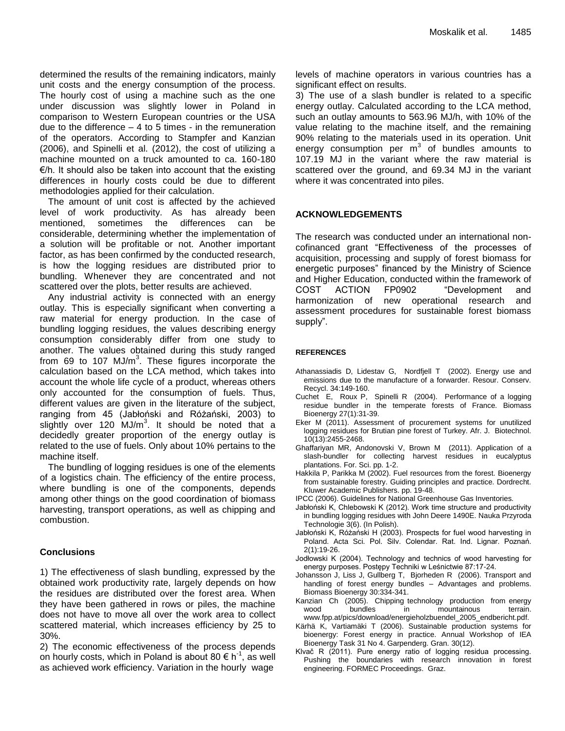determined the results of the remaining indicators, mainly unit costs and the energy consumption of the process. The hourly cost of using a machine such as the one under discussion was slightly lower in Poland in comparison to Western European countries or the USA due to the difference  $-4$  to 5 times - in the remuneration of the operators. According to Stampfer and Kanzian (2006), and Spinelli et al. (2012), the cost of utilizing a machine mounted on a truck amounted to ca. 160-180  $E/h$ . It should also be taken into account that the existing differences in hourly costs could be due to different methodologies applied for their calculation.

The amount of unit cost is affected by the achieved level of work productivity. As has already been mentioned, sometimes the differences can be considerable, determining whether the implementation of a solution will be profitable or not. Another important factor, as has been confirmed by the conducted research, is how the logging residues are distributed prior to bundling. Whenever they are concentrated and not scattered over the plots, better results are achieved.

Any industrial activity is connected with an energy outlay. This is especially significant when converting a raw material for energy production. In the case of bundling logging residues, the values describing energy consumption considerably differ from one study to another. The values obtained during this study ranged from 69 to 107 MJ/ $m^3$ . These figures incorporate the calculation based on the LCA method, which takes into account the whole life cycle of a product, whereas others only accounted for the consumption of fuels. Thus, different values are given in the literature of the subject, ranging from 45 (Jabłoński and Różański, 2003) to slightly over 120  $M$ J/m<sup>3</sup>. It should be noted that a decidedly greater proportion of the energy outlay is related to the use of fuels. Only about 10% pertains to the machine itself.

The bundling of logging residues is one of the elements of a logistics chain. The efficiency of the entire process, where bundling is one of the components, depends among other things on the good coordination of biomass harvesting, transport operations, as well as chipping and combustion.

## **Conclusions**

1) The effectiveness of slash bundling, expressed by the obtained work productivity rate, largely depends on how the residues are distributed over the forest area. When they have been gathered in rows or piles, the machine does not have to move all over the work area to collect scattered material, which increases efficiency by 25 to 30%.

2) The economic effectiveness of the process depends on hourly costs, which in Poland is about 80  $\epsilon$  h<sup>-1</sup>, as well as achieved work efficiency. Variation in the hourly wage

levels of machine operators in various countries has a significant effect on results.

3) The use of a slash bundler is related to a specific energy outlay. Calculated according to the LCA method, such an outlay amounts to 563.96 MJ/h, with 10% of the value relating to the machine itself, and the remaining 90% relating to the materials used in its operation. Unit energy consumption per  $m^3$  of bundles amounts to 107.19 MJ in the variant where the raw material is scattered over the ground, and 69.34 MJ in the variant where it was concentrated into piles.

## **ACKNOWLEDGEMENTS**

The research was conducted under an international noncofinanced grant "Effectiveness of the processes of acquisition, processing and supply of forest biomass for energetic purposes" financed by the Ministry of Science and Higher Education, conducted within the framework of COST ACTION FP0902 "Development and harmonization of new operational research and assessment procedures for sustainable forest biomass supply".

## **REFERENCES**

- Athanassiadis D, Lidestav G, Nordfjell T (2002). Energy use and emissions due to the manufacture of a forwarder. Resour. Conserv. Recycl. 34:149-160.
- Cuchet E, Roux P, Spinelli R (2004). Performance of a logging residue bundler in the temperate forests of France. Biomass Bioenergy 27(1):31-39.
- Eker M (2011). Assessment of procurement systems for unutilized logging residues for Brutian pine forest of Turkey. Afr. J. Biotechnol. 10(13):2455-2468.
- Ghaffariyan MR, Andonovski V, Brown M (2011). Application of a slash-bundler for collecting harvest residues in eucalyptus plantations. For. Sci. pp. 1-2.
- Hakkila P, Parikka M (2002). Fuel resources from the forest. Bioenergy from sustainable forestry. Guiding principles and practice. Dordrecht. Kluwer Academic Publishers. pp. 19-48.
- IPCC (2006). Guidelines for National Greenhouse Gas Inventories.
- Jabłoński K, Chlebowski K (2012). Work time structure and productivity in bundling logging residues with John Deere 1490E. Nauka Przyroda Technologie 3(6). (In Polish).
- Jabłoński K, Różański H (2003). Prospects for fuel wood harvesting in Poland. Acta Sci. Pol. Silv. Colendar. Rat. Ind. Lignar. Poznań. 2(1):19-26.
- Jodłowski K (2004). Technology and technics of wood harvesting for energy purposes. Postępy Techniki w Leśnictwie 87:17-24.
- Johansson J, Liss J, Gullberg T, Bjorheden R (2006). Transport and handling of forest energy bundles – Advantages and problems. Biomass Bioenergy 30:334-341.
- Kanzian Ch (2005). Chipping technology production from energy wood bundles in mountainous terrain. www.fpp.at/pics/download/energieholzbuendel\_2005\_endbericht.pdf.
- Kärhä K, Vartiamäki T (2006). Sustainable production systems for bioenergy: Forest energy in practice. Annual Workshop of IEA Bioenergy Task 31 No 4. Garpenderg. Gran. 30(12).
- Klvač R (2011). Pure energy ratio of logging residua processing. Pushing the boundaries with research innovation in forest engineering. FORMEC Proceedings. Graz.